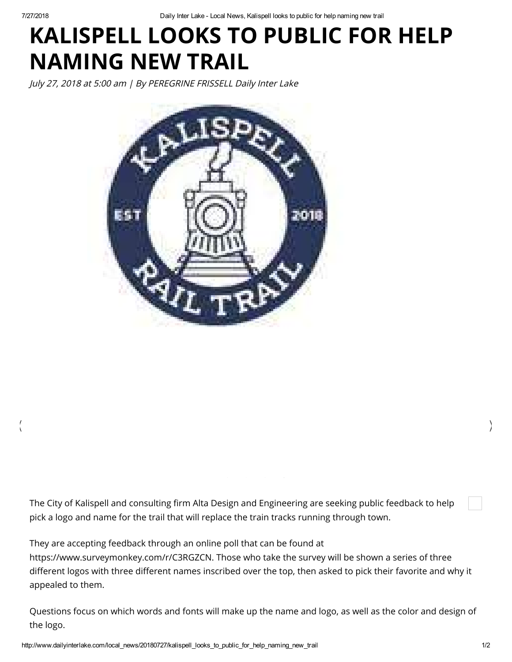7/27/2018 Daily Inter Lake Local News, Kalispell looks to public for help naming new trail

## KALISPELL LOOKS TO PUBLIC FOR HELP NAMING NEW TRAIL

July 27, 2018 at 5:00 am | By PEREGRINE FRISSELL Daily Inter Lake



The City of Kalispell and consulting firm Alta Design and Engineering are seeking public feedback to help pick a logo and name for the trail that will replace the train tracks running through town.

 $\langle$ 

They are accepting feedback through an online poll that can be found at https://www.surveymonkey.com/r/C3RGZCN. Those who take the survey will be shown a series of three different logos with three different names inscribed over the top, then asked to pick their favorite and why it appealed to them.

Questions focus on which words and fonts will make up the name and logo, as well as the color and design of the logo.